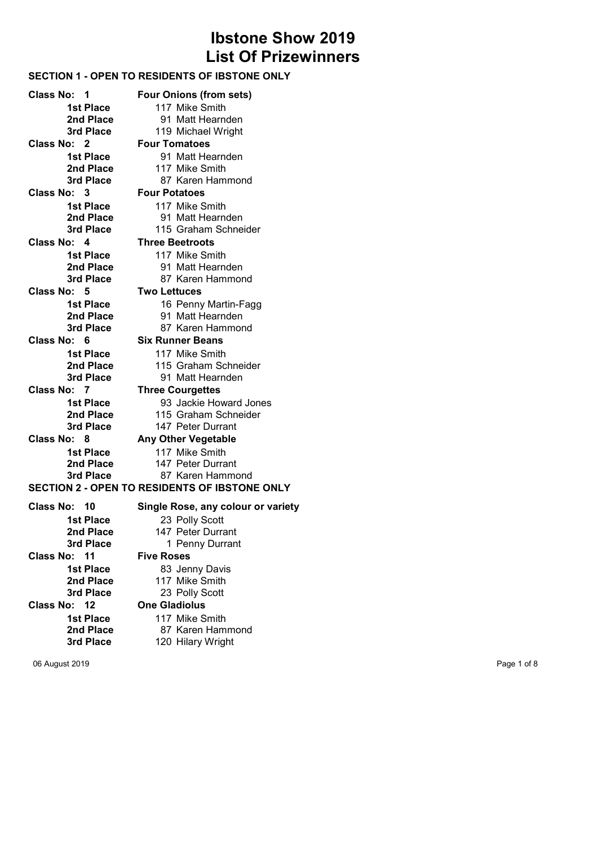# Ibstone Show 2019 List Of Prizewinners

# SECTION 1 - OPEN TO RESIDENTS OF IBSTONE ONLY

Class No: 1 Four Onions (from sets) **1st Place** 117 Mike Smith<br> **2nd Place** 91 Matt Hearn **2nd Place** 91 Matt Hearnden<br> **3rd Place** 119 Michael Wright Class No: 2 Four Tomatoes 1st Place 91 Matt Hearnden 2nd Place 117 Mike Smith 3rd Place 87 Karen Hammond Class No: 3 Four Potatoes **1st Place** 117 Mike Smith<br> **2nd Place** 91 Matt Hearne 3rd Place 115 Graham Schneider Class No: 4 Three Beetroots 1st Place 117 Mike Smith 2nd Place 91 Matt Hearnden 3rd Place 87 Karen Hammond Class No: 5 Two Lettuces **1st Place** 16 Penny Martin-Fagg<br> **2nd Place** 91 Matt Hearnden 3rd Place 87 Karen Hammond Class No: 6 Six Runner Beans **1st Place** 117 Mike Smith<br> **2nd Place** 115 Graham Sc 3rd Place 91 Matt Hearnden Class No: 7 Three Courgettes 1st Place 93 Jackie Howard Jones 2nd Place 115 Graham Schneider<br>
3rd Place 147 Peter Durrant Class No: 8 Any Other Vegetable 1st Place 117 Mike Smith 2nd Place 147 Peter Durrant 3rd Place 87 Karen Hammond Class No: 10 Single Rose, any colour or variety 1st Place 23 Polly Scott 2nd Place 147 Peter Durrant 3rd Place 1 Penny Durrant Class No: 11 Five Roses 1st Place 83 Jenny Davis 2nd Place 117 Mike Smith<br>3rd Place 23 Polly Scott Class No: 12 One Gladiolus 1st Place 117 Mike Smith

# 23 Polly Scott

2nd Place 87 Karen Hammond 3rd Place 120 Hilary Wright

06 August 2019 Page 1 of 8

- 
- 119 Michael Wright
- 
- 
- 
- 
- -
	- 91 Matt Hearnden
	-

- 
- 
- 
- 91 Matt Hearnden
- 
- 
- 115 Graham Schneider
- 
- 
- 
- 147 Peter Durrant

- 
- 
- 

# SECTION 2 - OPEN TO RESIDENTS OF IBSTONE ONLY

- 
- 
- 

- 
- 
-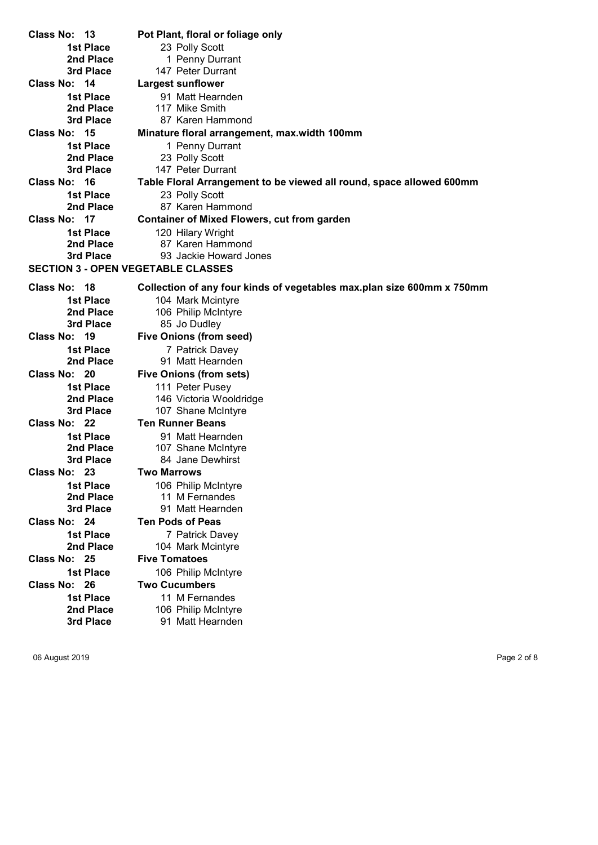Class No: 13 Pot Plant, floral or foliage only 1st Place 23 Polly Scott **2nd Place** 1 Penny Durrant<br> **3rd Place** 147 Peter Durrant 147 Peter Durrant Class No: 14 Largest sunflower 1st Place 91 Matt Hearnden **2nd Place** 117 Mike Smith<br> **3rd Place** 87 Karen Ham 87 Karen Hammond Class No: 15 Minature floral arrangement, max.width 100mm 1st Place 1 Penny Durrant 2nd Place 23 Polly Scott 3rd Place 147 Peter Durrant Class No: 16 Table Floral Arrangement to be viewed all round, space allowed 600mm 1st Place 23 Polly Scott 2nd Place 87 Karen Hammond Class No: 17 Container of Mixed Flowers, cut from garden 1st Place 120 Hilary Wright 2nd Place 87 Karen Hammond 3rd Place 93 Jackie Howard Jones SECTION 3 - OPEN VEGETABLE CLASSES Class No: 18 Collection of any four kinds of vegetables max.plan size 600mm x 750mm 1st Place 104 Mark Mcintyre 2nd Place 106 Philip McIntyre 3rd Place 85 Jo Dudley Class No: 19 Five Onions (from seed) 1st Place 7 Patrick Davey 2nd Place 91 Matt Hearnden Class No: 20 Five Onions (from sets) 1st Place 111 Peter Pusey 2nd Place 146 Victoria Wooldridge 3rd Place 107 Shane McIntyre Class No: 22 Ten Runner Beans 1st Place 91 Matt Hearnden 2nd Place 107 Shane McIntyre 3rd Place 84 Jane Dewhirst Class No: 23 Two Marrows **1st Place** 106 Philip McIntyre<br> **2nd Place** 11 M Fernandes 11 M Fernandes 3rd Place 91 Matt Hearnden Class No: 24 Ten Pods of Peas 1st Place 7 Patrick Davey 2nd Place 104 Mark Mcintyre Class No: 25 Five Tomatoes 1st Place 106 Philip McIntyre Class No: 26 Two Cucumbers **1st Place** 11 M Fernandes<br> **2nd Place** 106 Philip McIntvr 106 Philip McIntyre 3rd Place 91 Matt Hearnden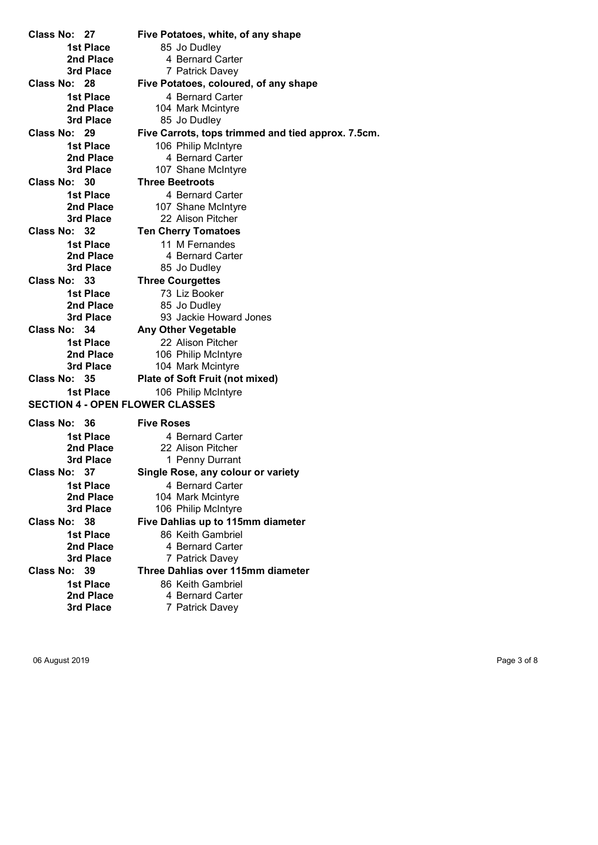Class No: 27 Five Potatoes, white, of any shape 1st Place 85 Jo Dudley **2nd Place** 4 Bernard Carter<br> **3rd Place** 7 Patrick Davev 7 Patrick Davey Class No: 28 Five Potatoes, coloured, of any shape 1st Place 4 Bernard Carter 2nd Place 104 Mark Mcintyre<br>
3rd Place 85 Jo Dudley 85 Jo Dudley Class No: 29 Five Carrots, tops trimmed and tied approx. 7.5cm. 1st Place 106 Philip McIntyre 2nd Place 4 Bernard Carter 3rd Place 107 Shane McIntyre Class No: 30 Three Beetroots 1st Place 4 Bernard Carter 2nd Place 107 Shane McIntyre<br>
22 Alison Pitcher<br>
22 Alison Pitcher 22 Alison Pitcher Class No: 32 Ten Cherry Tomatoes 1st Place 11 M Fernandes 2nd Place 4 Bernard Carter 3rd Place 85 Jo Dudley Class No: 33 Three Courgettes 1st Place 73 Liz Booker **2nd Place** 85 Jo Dudley<br> **3rd Place** 93 Jackie Hov 93 Jackie Howard Jones Class No: 34 Any Other Vegetable 1st Place 22 Alison Pitcher 2nd Place 106 Philip McIntyre 3rd Place 104 Mark Mcintyre Class No: 35 Plate of Soft Fruit (not mixed) 1st Place 106 Philip McIntyre SECTION 4 - OPEN FLOWER CLASSES Class No: 36 Five Roses 1st Place 4 Bernard Carter 2nd Place 22 Alison Pitcher 3rd Place 1 Penny Durrant Class No: 37 Single Rose, any colour or variety 1st Place 4 Bernard Carter 2nd Place 104 Mark Mcintyre 3rd Place 106 Philip McIntyre Class No: 38 Five Dahlias up to 115mm diameter 1st Place 86 Keith Gambriel 2nd Place 4 Bernard Carter 3rd Place 7 Patrick Davey

Class No: 39 Three Dahlias over 115mm diameter 1st Place 86 Keith Gambriel 2nd Place 4 Bernard Carter 3rd Place 7 Patrick Davey

06 August 2019 Page 3 of 8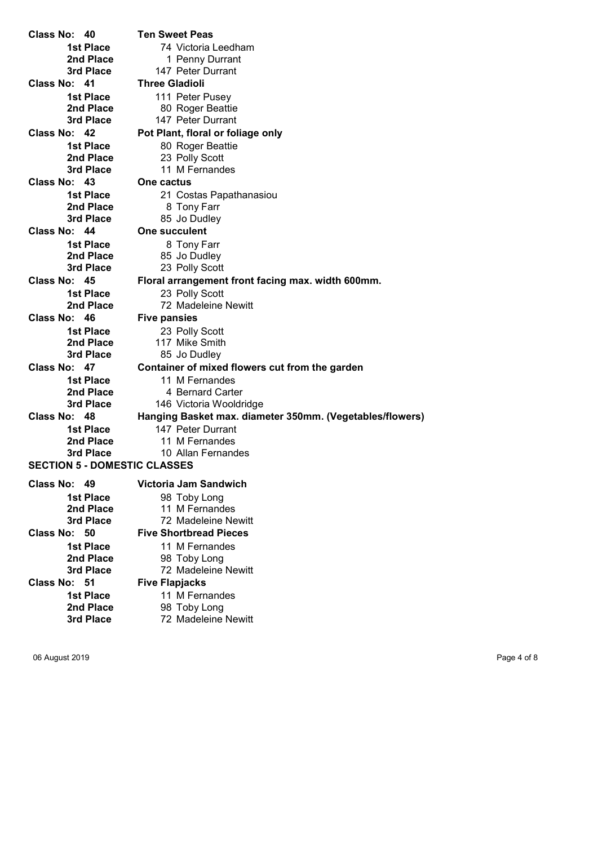Class No: 40 Ten Sweet Peas 1st Place 74 Victoria Leedham **2nd Place** 1 Penny Durrant<br> **3rd Place** 147 Peter Durrant 147 Peter Durrant Class No: 41 Three Gladioli 1st Place 111 Peter Pusey 2nd Place 80 Roger Beattie<br>3rd Place 147 Peter Durrant 147 Peter Durrant Class No: 42 Pot Plant, floral or foliage only 1st Place 80 Roger Beattie 2nd Place 23 Polly Scott 3rd Place 11 M Fernandes Class No: 43 One cactus 1st Place 21 Costas Papathanasiou **2nd Place** 8 Tony Farr<br> **3rd Place** 85 Jo Dudley 85 Jo Dudley Class No: 44 One succulent 1st Place 8 Tony Farr 2nd Place 85 Jo Dudley 3rd Place 23 Polly Scott Class No: 45 Floral arrangement front facing max. width 600mm. 1st Place 23 Polly Scott 2nd Place 72 Madeleine Newitt Class No: 46 Five pansies 1st Place 23 Polly Scott<br>
2nd Place 2nd 117 Mike Smith 117 Mike Smith 3rd Place 85 Jo Dudley Class No: 47 Container of mixed flowers cut from the garden 1st Place 11 M Fernandes **2nd Place** 4 Bernard Carter<br>
3rd Place 146 Victoria Wooldr 146 Victoria Wooldridge Class No: 48 Hanging Basket max. diameter 350mm. (Vegetables/flowers) 1st Place 147 Peter Durrant 2nd Place 11 M Fernandes 3rd Place 10 Allan Fernandes SECTION 5 - DOMESTIC CLASSES Class No: 49 Victoria Jam Sandwich 1st Place 98 Toby Long 2nd Place 11 M Fernandes 3rd Place 72 Madeleine Newitt Class No: 50 Five Shortbread Pieces 1st Place 11 M Fernandes **2nd Place** 98 Toby Long<br>
3rd Place 72 Madeleine 72 Madeleine Newitt Class No: 51 Five Flapjacks 1st Place 11 M Fernandes 2nd Place 98 Toby Long 3rd Place 72 Madeleine Newitt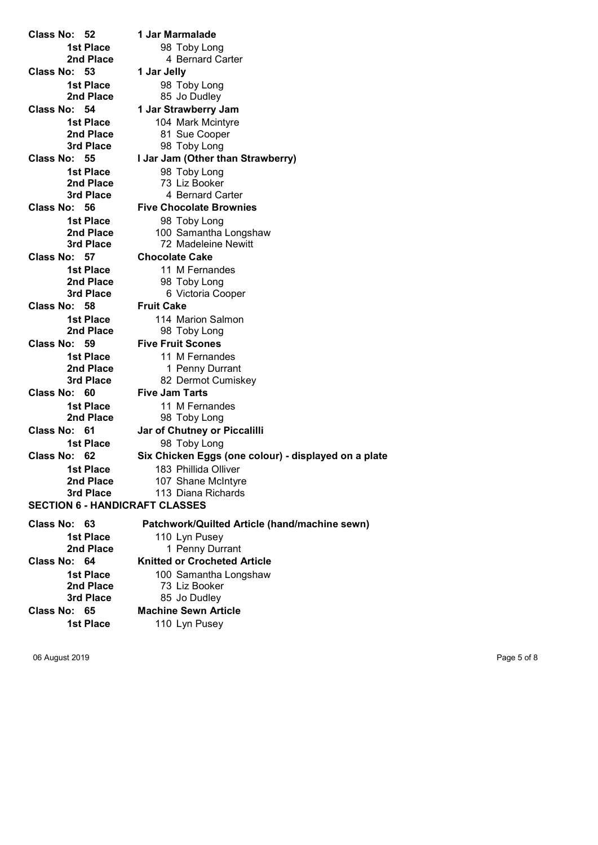Class No: 52 1 Jar Marmalade 1st Place 98 Toby Long 2nd Place 4 Bernard Carter Class No: 53 1 Jar Jelly **1st Place** 98 Toby Long<br> **2nd Place** 85 Jo Dudley Class No: 54 1 Jar Strawberry Jam Class No: 57 Chocolate Cake Class No: 58 Fruit Cake Class No: 59 Five Fruit Scones Class No: 60 Five Jam Tarts SECTION 6 - HANDICRAFT CLASSES

1st Place 104 Mark Mcintyre 2nd Place 81 Sue Cooper 3rd Place 98 Toby Long Class No: 55 I Jar Jam (Other than Strawberry) 1st Place 98 Toby Long **2nd Place** 73 Liz Booker<br> **3rd Place** 4 Bernard Ca 4 Bernard Carter Class No: 56 Five Chocolate Brownies 1st Place 98 Toby Long 2nd Place 100 Samantha Longshaw<br>
3rd Place 72 Madeleine Newitt 72 Madeleine Newitt 1st Place 11 M Fernandes 2nd Place 98 Toby Long 3rd Place 6 Victoria Cooper 1st Place 114 Marion Salmon 2nd Place 98 Toby Long 1st Place 11 M Fernandes 2nd Place 1 Penny Durrant 3rd Place 82 Dermot Cumiskey 1st Place 11 M Fernandes 2nd Place 98 Toby Long Class No: 61 Jar of Chutney or Piccalilli 1st Place 98 Toby Long Class No: 62 Six Chicken Eggs (one colour) - displayed on a plate 1st Place 183 Phillida Olliver 2nd Place 107 Shane McIntyre **3rd Place** 113 Diana Richards Class No: 63 Patchwork/Quilted Article (hand/machine sewn) 1st Place 110 Lyn Pusey 2nd Place 1 Penny Durrant Class No: 64 Knitted or Crocheted Article 1st Place 100 Samantha Longshaw **2nd Place** 73 Liz Booker<br> **3rd Place** 85 Jo Dudley 85 Jo Dudley Class No: 65 Machine Sewn Article 1st Place 110 Lyn Pusey

85 Jo Dudley

06 August 2019 Page 5 of 8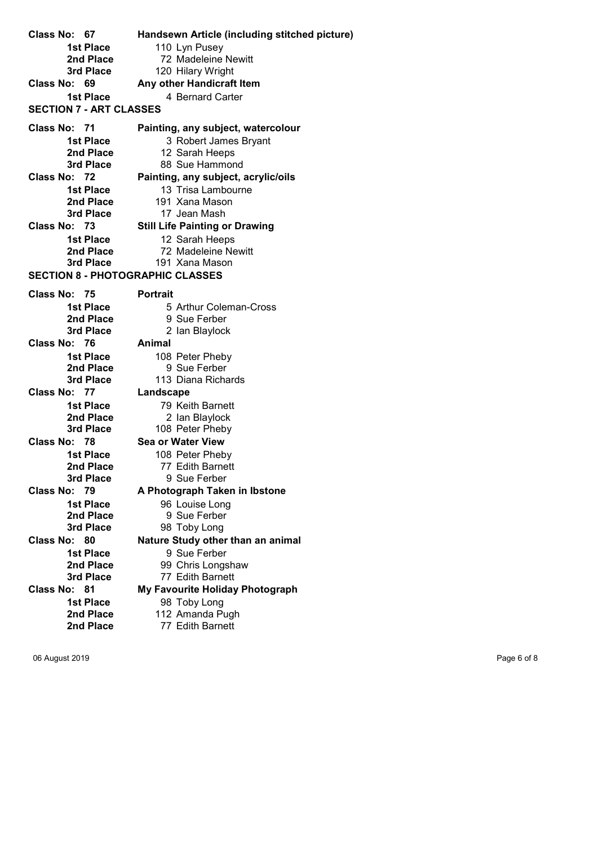Class No: 67 Handsewn Article (including stitched picture) 1st Place 110 Lyn Pusey 2nd Place 72 Madeleine Newitt<br>
3rd Place 720 Hilary Wright 120 Hilary Wright Class No: 69 Any other Handicraft Item 1st Place 4 Bernard Carter SECTION 7 - ART CLASSES Class No: 71 Painting, any subject, watercolour 1st Place 3 Robert James Bryant **2nd Place** 12 Sarah Heeps<br> **3rd Place** 88 Sue Hammor 88 Sue Hammond Class No: 72 Painting, any subject, acrylic/oils 1st Place 13 Trisa Lambourne 2nd Place 191 Xana Mason 3rd Place 17 Jean Mash Class No: 73 Still Life Painting or Drawing 1st Place 12 Sarah Heeps 2nd Place 72 Madeleine Newitt 3rd Place 191 Xana Mason SECTION 8 - PHOTOGRAPHIC CLASSES Class No: 75 Portrait 1st Place 5 Arthur Coleman-Cross 2nd Place 9 Sue Ferber 3rd Place 2 Ian Blaylock Class No: 76 Animal **1st Place** 108 Peter Pheby<br> **2nd Place** 9 Sue Ferber **2nd Place** 9 Sue Ferber<br> **3rd Place** 113 Diana Richa 113 Diana Richards Class No: 77 Landscape 1st Place 79 Keith Barnett **2nd Place** 2 Ian Blaylock 3rd Place 108 Peter Pheby Class No: 78 Sea or Water View 1st Place 108 Peter Pheby 2nd Place 77 Edith Barnett<br>3rd Place 9 Sue Ferber 9 Sue Ferber Class No: 79 A Photograph Taken in Ibstone 1st Place 96 Louise Long 2nd Place 9 Sue Ferber 3rd Place 98 Toby Long Class No: 80 Nature Study other than an animal **1st Place** 9 Sue Ferber<br> **2nd Place** 99 Chris Longs **2nd Place** 99 Chris Longshaw<br> **3rd Place** 77 Edith Barnett 77 Edith Barnett Class No: 81 My Favourite Holiday Photograph 1st Place 98 Toby Long 2nd Place 112 Amanda Pugh 2nd Place 77 Edith Barnett

06 August 2019 **Page 6 of 8**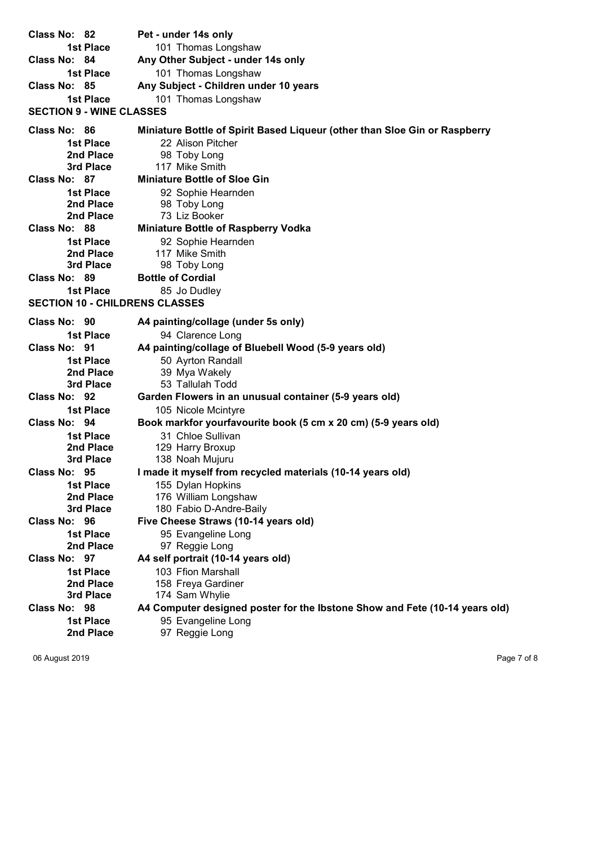| Class No: 82                          | Pet - under 14s only                                                        |  |
|---------------------------------------|-----------------------------------------------------------------------------|--|
| 1st Place                             | 101 Thomas Longshaw                                                         |  |
| Class No: 84                          | Any Other Subject - under 14s only                                          |  |
| 1st Place                             | 101 Thomas Longshaw                                                         |  |
| Class No: 85                          | Any Subject - Children under 10 years                                       |  |
| 1st Place                             | 101 Thomas Longshaw                                                         |  |
| <b>SECTION 9 - WINE CLASSES</b>       |                                                                             |  |
| Class No: 86                          | Miniature Bottle of Spirit Based Liqueur (other than Sloe Gin or Raspberry  |  |
| 1st Place                             | 22 Alison Pitcher                                                           |  |
| 2nd Place                             | 98 Toby Long                                                                |  |
| 3rd Place                             | 117 Mike Smith                                                              |  |
| Class No: 87                          | <b>Miniature Bottle of Sloe Gin</b>                                         |  |
| 1st Place                             | 92 Sophie Hearnden                                                          |  |
| 2nd Place                             | 98 Toby Long                                                                |  |
| 2nd Place                             | 73 Liz Booker                                                               |  |
| Class No: 88                          | <b>Miniature Bottle of Raspberry Vodka</b>                                  |  |
| 1st Place                             | 92 Sophie Hearnden                                                          |  |
| 2nd Place                             | 117 Mike Smith                                                              |  |
| 3rd Place                             | 98 Toby Long                                                                |  |
| Class No: 89                          | <b>Bottle of Cordial</b>                                                    |  |
| 1st Place                             | 85 Jo Dudley                                                                |  |
| <b>SECTION 10 - CHILDRENS CLASSES</b> |                                                                             |  |
| Class No: 90                          | A4 painting/collage (under 5s only)                                         |  |
| 1st Place                             | 94 Clarence Long                                                            |  |
| Class No: 91                          | A4 painting/collage of Bluebell Wood (5-9 years old)                        |  |
| 1st Place                             | 50 Ayrton Randall                                                           |  |
| 2nd Place                             | 39 Mya Wakely                                                               |  |
| 3rd Place                             | 53 Tallulah Todd                                                            |  |
| Class No: 92                          | Garden Flowers in an unusual container (5-9 years old)                      |  |
| 1st Place                             | 105 Nicole Mcintyre                                                         |  |
| Class No: 94                          | Book markfor yourfavourite book (5 cm x 20 cm) (5-9 years old)              |  |
| 1st Place                             | 31 Chloe Sullivan                                                           |  |
| 2nd Place                             | 129 Harry Broxup                                                            |  |
| 3rd Place                             | 138 Noah Mujuru                                                             |  |
| Class No: 95                          | I made it myself from recycled materials (10-14 years old)                  |  |
| <b>1st Place</b>                      | 155 Dylan Hopkins                                                           |  |
| 2nd Place                             | 176 William Longshaw                                                        |  |
| 3rd Place                             | 180 Fabio D-Andre-Baily                                                     |  |
| Class No: 96                          | Five Cheese Straws (10-14 years old)                                        |  |
| <b>1st Place</b>                      | 95 Evangeline Long                                                          |  |
| 2nd Place                             | 97 Reggie Long                                                              |  |
| Class No: 97                          | A4 self portrait (10-14 years old)                                          |  |
| <b>1st Place</b>                      | 103 Ffion Marshall                                                          |  |
| 2nd Place                             | 158 Freya Gardiner                                                          |  |
| 3rd Place                             | 174 Sam Whylie                                                              |  |
| Class No: 98                          | A4 Computer designed poster for the Ibstone Show and Fete (10-14 years old) |  |
| <b>1st Place</b>                      | 95 Evangeline Long                                                          |  |
| 2nd Place                             | 97 Reggie Long                                                              |  |